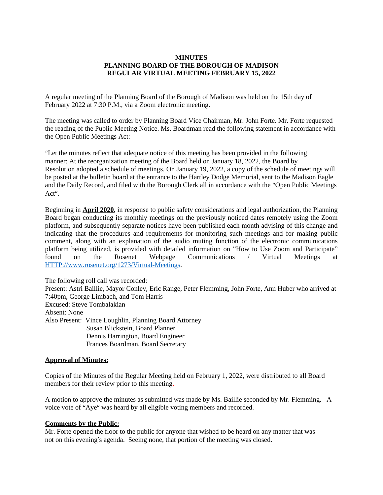## **MINUTES PLANNING BOARD OF THE BOROUGH OF MADISON REGULAR VIRTUAL MEETING FEBRUARY 15, 2022**

A regular meeting of the Planning Board of the Borough of Madison was held on the 15th day of February 2022 at 7:30 P.M., via a Zoom electronic meeting.

The meeting was called to order by Planning Board Vice Chairman, Mr. John Forte. Mr. Forte requested the reading of the Public Meeting Notice. Ms. Boardman read the following statement in accordance with the Open Public Meetings Act:

"Let the minutes reflect that adequate notice of this meeting has been provided in the following manner: At the reorganization meeting of the Board held on January 18, 2022, the Board by Resolution adopted a schedule of meetings. On January 19, 2022, a copy of the schedule of meetings will be posted at the bulletin board at the entrance to the Hartley Dodge Memorial, sent to the Madison Eagle and the Daily Record, and filed with the Borough Clerk all in accordance with the "Open Public Meetings Act".

Beginning in **April 2020**, in response to public safety considerations and legal authorization, the Planning Board began conducting its monthly meetings on the previously noticed dates remotely using the Zoom platform, and subsequently separate notices have been published each month advising of this change and indicating that the procedures and requirements for monitoring such meetings and for making public comment, along with an explanation of the audio muting function of the electronic communications platform being utilized, is provided with detailed information on "How to Use Zoom and Participate" found on the Rosenet Webpage Communications / Virtual Meetings at <HTTP://www.rosenet.org/1273/Virtual-Meetings>.

The following roll call was recorded: Present: Astri Baillie, Mayor Conley, Eric Range, Peter Flemming, John Forte, Ann Huber who arrived at 7:40pm, George Limbach, and Tom Harris Excused: Steve Tombalakian Absent: None Also Present: Vince Loughlin, Planning Board Attorney Susan Blickstein, Board Planner Dennis Harrington, Board Engineer Frances Boardman, Board Secretary

#### **Approval of Minutes:**

Copies of the Minutes of the Regular Meeting held on February 1, 2022, were distributed to all Board members for their review prior to this meeting.

A motion to approve the minutes as submitted was made by Ms. Baillie seconded by Mr. Flemming. A voice vote of "Aye" was heard by all eligible voting members and recorded.

#### **Comments by the Public:**

Mr. Forte opened the floor to the public for anyone that wished to be heard on any matter that was not on this evening's agenda. Seeing none, that portion of the meeting was closed.